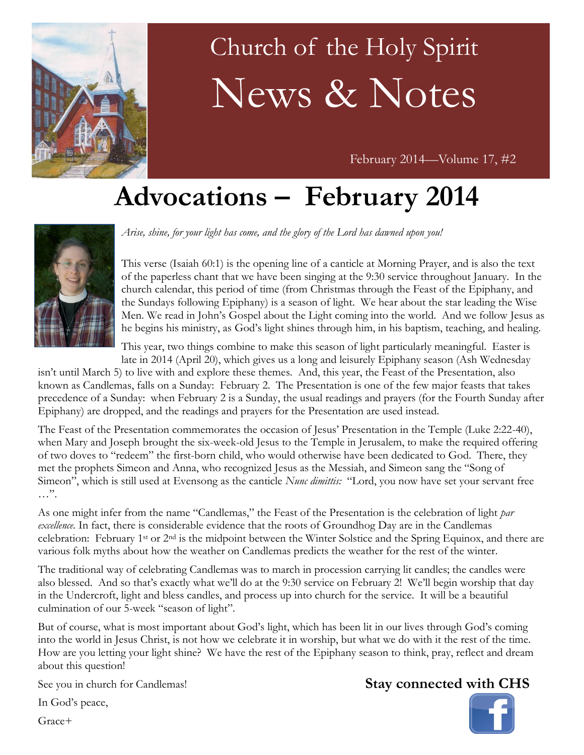

# Church of the Holy Spirit News & Notes

February 2014—Volume 17, #2

## **Advocations – February 2014**



*Arise, shine, for your light has come, and the glory of the Lord has dawned upon you!*

This verse (Isaiah 60:1) is the opening line of a canticle at Morning Prayer, and is also the text of the paperless chant that we have been singing at the 9:30 service throughout January. In the church calendar, this period of time (from Christmas through the Feast of the Epiphany, and the Sundays following Epiphany) is a season of light. We hear about the star leading the Wise Men. We read in John's Gospel about the Light coming into the world. And we follow Jesus as he begins his ministry, as God's light shines through him, in his baptism, teaching, and healing.

This year, two things combine to make this season of light particularly meaningful. Easter is late in 2014 (April 20), which gives us a long and leisurely Epiphany season (Ash Wednesday

isn't until March 5) to live with and explore these themes. And, this year, the Feast of the Presentation, also known as Candlemas, falls on a Sunday: February 2. The Presentation is one of the few major feasts that takes precedence of a Sunday: when February 2 is a Sunday, the usual readings and prayers (for the Fourth Sunday after Epiphany) are dropped, and the readings and prayers for the Presentation are used instead.

The Feast of the Presentation commemorates the occasion of Jesus' Presentation in the Temple (Luke 2:22-40), when Mary and Joseph brought the six-week-old Jesus to the Temple in Jerusalem, to make the required offering of two doves to "redeem" the first-born child, who would otherwise have been dedicated to God. There, they met the prophets Simeon and Anna, who recognized Jesus as the Messiah, and Simeon sang the "Song of Simeon", which is still used at Evensong as the canticle *Nunc dimittis:* "Lord, you now have set your servant free …".

As one might infer from the name "Candlemas," the Feast of the Presentation is the celebration of light *par excellence.* In fact, there is considerable evidence that the roots of Groundhog Day are in the Candlemas celebration: February 1st or 2nd is the midpoint between the Winter Solstice and the Spring Equinox, and there are various folk myths about how the weather on Candlemas predicts the weather for the rest of the winter.

The traditional way of celebrating Candlemas was to march in procession carrying lit candles; the candles were also blessed. And so that's exactly what we'll do at the 9:30 service on February 2! We'll begin worship that day in the Undercroft, light and bless candles, and process up into church for the service. It will be a beautiful culmination of our 5-week "season of light".

But of course, what is most important about God's light, which has been lit in our lives through God's coming into the world in Jesus Christ, is not how we celebrate it in worship, but what we do with it the rest of the time. How are you letting your light shine? We have the rest of the Epiphany season to think, pray, reflect and dream about this question!

See you in church for Candlemas!

#### In God's peace,

Grace+

#### **Stay connected with CHS**

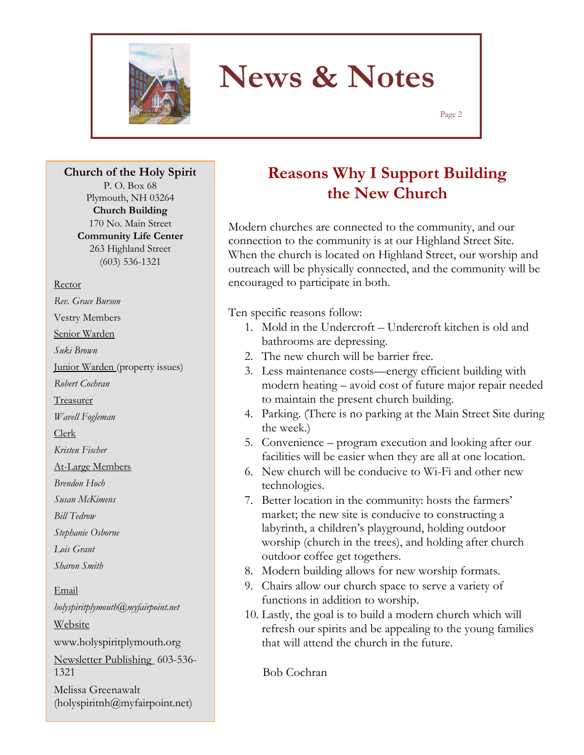

## **News & Notes**

Page 2

**Church of the Holy Spirit** P. O. Box 68 Plymouth, NH 03264

> **Church Building** 170 No. Main Street **Community Life Center** 263 Highland Street (603) 536-1321

#### Rector

*Rev. Grace Burson* Vestry Members Senior Warden *Suki Brown* Junior Warden (property issues) *Robert Cochran* Treasurer *Wavell Fogleman* Clerk *Kristen Fischer* At-Large Members *Brendon Hoch Susan McKimens Bill Tedrow Stephanie Osborne Lois Grant Sharon Smith* Email *holyspiritplymouth@myfairpoint.net* Website www.holyspiritplymouth.org Newsletter Publishing 603-536- 1321

Melissa Greenawalt (holyspiritnh@myfairpoint.net)

### **Reasons Why I Support Building the New Church**

Modern churches are connected to the community, and our connection to the community is at our Highland Street Site. When the church is located on Highland Street, our worship and outreach will be physically connected, and the community will be encouraged to participate in both.

Ten specific reasons follow:

- 1. Mold in the Undercroft Undercroft kitchen is old and bathrooms are depressing.
- 2. The new church will be barrier free.
- 3. Less maintenance costs—energy efficient building with modern heating – avoid cost of future major repair needed to maintain the present church building.
- 4. Parking. (There is no parking at the Main Street Site during the week.)
- 5. Convenience program execution and looking after our facilities will be easier when they are all at one location.
- 6. New church will be conducive to Wi-Fi and other new technologies.
- 7. Better location in the community: hosts the farmers' market; the new site is conducive to constructing a labyrinth, a children's playground, holding outdoor worship (church in the trees), and holding after church outdoor coffee get togethers.
- 8. Modern building allows for new worship formats.
- 9. Chairs allow our church space to serve a variety of functions in addition to worship.
- 10. Lastly, the goal is to build a modern church which will refresh our spirits and be appealing to the young families that will attend the church in the future.

Bob Cochran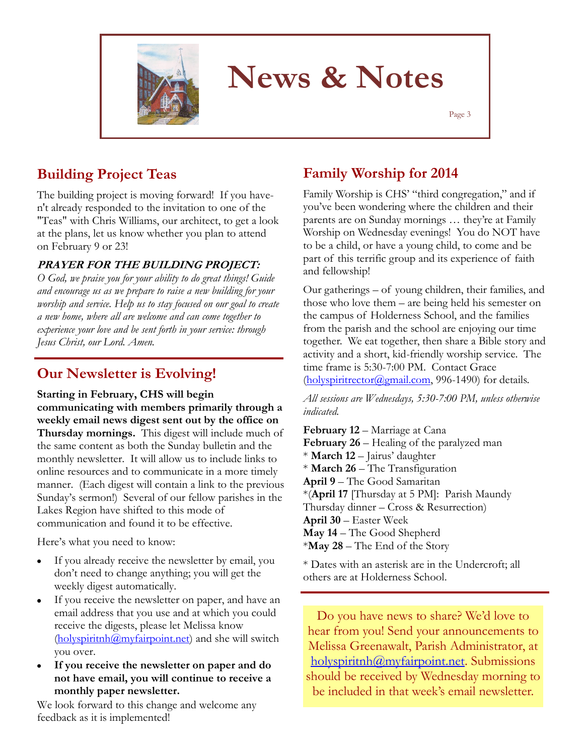

## **News & Notes**

Page 3

### **Building Project Teas**

The building project is moving forward! If you haven't already responded to the invitation to one of the "Teas" with Chris Williams, our architect, to get a look at the plans, let us know whether you plan to attend on February 9 or 23!

#### **PRAYER FOR THE BUILDING PROJECT:**

*O God, we praise you for your ability to do great things! Guide and encourage us as we prepare to raise a new building for your worship and service. Help us to stay focused on our goal to create a new home, where all are welcome and can come together to experience your love and be sent forth in your service: through Jesus Christ, our Lord. Amen.*

#### **Our Newsletter is Evolving!**

**Starting in February, CHS will begin communicating with members primarily through a weekly email news digest sent out by the office on Thursday mornings.** This digest will include much of the same content as both the Sunday bulletin and the monthly newsletter. It will allow us to include links to online resources and to communicate in a more timely manner. (Each digest will contain a link to the previous Sunday's sermon!) Several of our fellow parishes in the Lakes Region have shifted to this mode of communication and found it to be effective.

Here's what you need to know:

- If you already receive the newsletter by email, you don't need to change anything; you will get the weekly digest automatically.
- If you receive the newsletter on paper, and have an  $\bullet$ email address that you use and at which you could receive the digests, please let Melissa know  $(holyspirith@myfairpoint.net)$  and she will switch you over.
- **If you receive the newsletter on paper and do not have email, you will continue to receive a monthly paper newsletter.**

We look forward to this change and welcome any feedback as it is implemented!

#### **Family Worship for 2014**

Family Worship is CHS' "third congregation," and if you've been wondering where the children and their parents are on Sunday mornings … they're at Family Worship on Wednesday evenings! You do NOT have to be a child, or have a young child, to come and be part of this terrific group and its experience of faith and fellowship!

Our gatherings – of young children, their families, and those who love them – are being held his semester on the campus of Holderness School, and the families from the parish and the school are enjoying our time together. We eat together, then share a Bible story and activity and a short, kid-friendly worship service. The time frame is 5:30-7:00 PM. Contact Grace (holyspiritrector@gmail.com, 996-1490) for details.

*All sessions are Wednesdays, 5:30-7:00 PM, unless otherwise indicated.*

**February 12** – Marriage at Cana **February 26 – Healing of the paralyzed man** \* **March 12** – Jairus' daughter \* **March 26** – The Transfiguration **April 9** – The Good Samaritan \*(**April 17** [Thursday at 5 PM]: Parish Maundy Thursday dinner – Cross & Resurrection) **April 30** – Easter Week **May 14** – The Good Shepherd \***May 28** – The End of the Story

\* Dates with an asterisk are in the Undercroft; all others are at Holderness School.

Do you have news to share? We'd love to hear from you! Send your announcements to Melissa Greenawalt, Parish Administrator, at holyspiritnh@myfairpoint.net. Submissions should be received by Wednesday morning to be included in that week's email newsletter.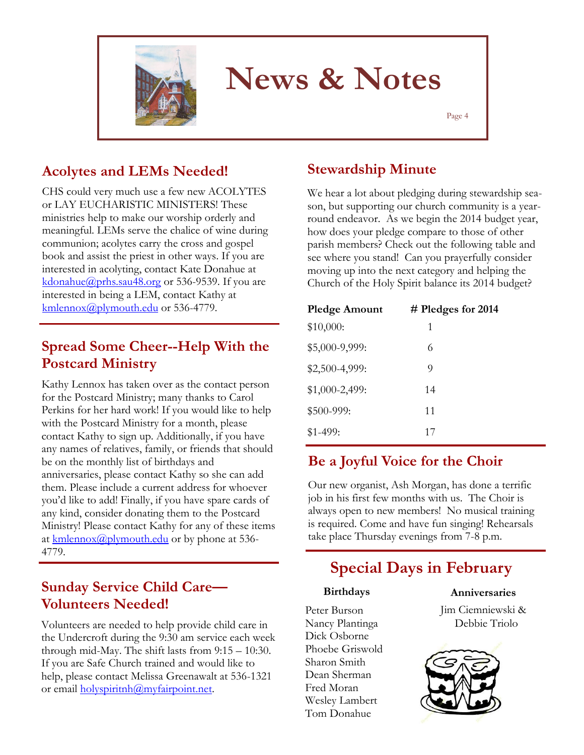

## **News & Notes**

Page 4

#### **Acolytes and LEMs Needed!**

CHS could very much use a few new ACOLYTES or LAY EUCHARISTIC MINISTERS! These ministries help to make our worship orderly and meaningful. LEMs serve the chalice of wine during communion; acolytes carry the cross and gospel book and assist the priest in other ways. If you are interested in acolyting, contact Kate Donahue at [kdonahue@prhs.sau48.org](mailto:kdonahue@prhs.sau48.org) or 536-9539. If you are interested in being a LEM, contact Kathy at [kmlennox@plymouth.edu](mailto:kmlennox@plymouth.edu) or 536-4779.

#### **Spread Some Cheer--Help With the Postcard Ministry**

Kathy Lennox has taken over as the contact person for the Postcard Ministry; many thanks to Carol Perkins for her hard work! If you would like to help with the Postcard Ministry for a month, please contact Kathy to sign up. Additionally, if you have any names of relatives, family, or friends that should be on the monthly list of birthdays and anniversaries, please contact Kathy so she can add them. Please include a current address for whoever you'd like to add! Finally, if you have spare cards of any kind, consider donating them to the Postcard Ministry! Please contact Kathy for any of these items at [kmlennox@plymouth.edu](mailto:kmlennox@plymouth.edu) or by phone at 536-4779.

#### **Sunday Service Child Care— Volunteers Needed!**

Volunteers are needed to help provide child care in the Undercroft during the 9:30 am service each week through mid-May. The shift lasts from 9:15 – 10:30. If you are Safe Church trained and would like to help, please contact Melissa Greenawalt at 536-1321 or email holyspiritnh@myfairpoint.net.

#### **Stewardship Minute**

We hear a lot about pledging during stewardship season, but supporting our church community is a yearround endeavor. As we begin the 2014 budget year, how does your pledge compare to those of other parish members? Check out the following table and see where you stand! Can you prayerfully consider moving up into the next category and helping the Church of the Holy Spirit balance its 2014 budget?

| <b>Pledge Amount</b> | $#$ Pledges for 2014 |  |
|----------------------|----------------------|--|
| \$10,000:            | 1                    |  |
| \$5,000-9,999:       | 6                    |  |
| \$2,500-4,999:       | 9                    |  |
| $$1,000-2,499$ :     | 14                   |  |
| \$500-999:           | 11                   |  |
| $$1-499:$            | 17                   |  |

#### **Be a Joyful Voice for the Choir**

Our new organist, Ash Morgan, has done a terrific job in his first few months with us. The Choir is always open to new members! No musical training is required. Come and have fun singing! Rehearsals take place Thursday evenings from 7-8 p.m.

### **Special Days in February**

### **Birthdays**

Peter Burson Nancy Plantinga Dick Osborne Phoebe Griswold Sharon Smith Dean Sherman Fred Moran Wesley Lambert Tom Donahue

#### **Anniversaries**

Jim Ciemniewski & Debbie Triolo